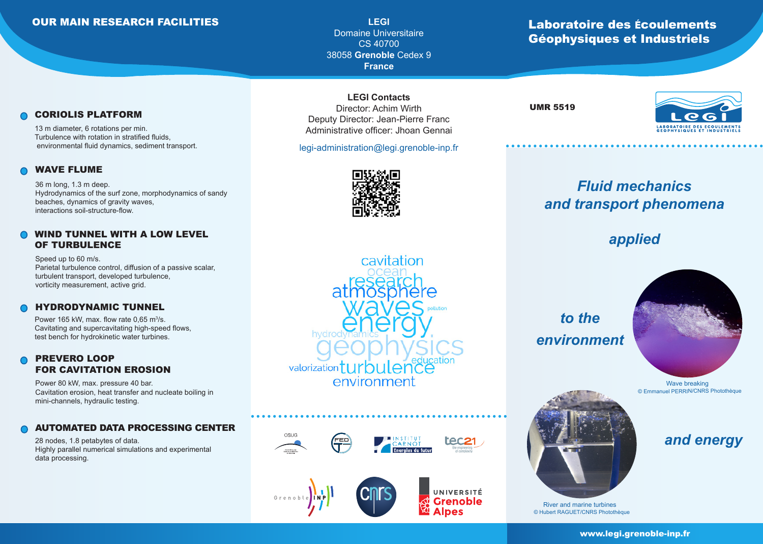## OUR MAIN RESEARCH FACILITIES

**LEGI** Domaine Universitaire CS 40700 38058 **Grenoble** Cedex 9 **France**

## Laboratoire des écoulements Géophysiques et Industriels

### CORIOLIS PLATFORM

13 m diameter, 6 rotations per min. Turbulence with rotation in stratified fluids, environmental fluid dynamics, sediment transport.

#### WAVE FLUME

36 m long, 1.3 m deep. Hydrodynamics of the surf zone, morphodynamics of sandy beaches, dynamics of gravity waves, interactions soil-structure-flow.

### WIND TUNNEL WITH A LOW LEVEL OF TURBULENCE

Speed up to 60 m/s. Parietal turbulence control, diffusion of a passive scalar, turbulent transport, developed turbulence, vorticity measurement, active grid.

#### HYDRODYNAMIC TUNNEL

Power 165 kW, max. flow rate  $0,65 \text{ m}^3$ /s. Cavitating and supercavitating high-speed flows, test bench for hydrokinetic water turbines.

## PREVERO LOOP FOR CAVITATION EROSION

Power 80 kW, max. pressure 40 bar. Cavitation erosion, heat transfer and nucleate boiling in mini-channels, hydraulic testing.

#### AUTOMATED DATA PROCESSING CENTER

28 nodes, 1.8 petabytes of data. Highly parallel numerical simulations and experimental data processing.

**LEGI Contacts** Director: Achim Wirth Deputy Director: Jean-Pierre Franc Administrative officer: Jhoan Gennai

legi-administration@legi.grenoble-inp.fr



UMR 5519



# *Fluid mechanics and transport phenomena*

# *applied*



cavitation hydro bulence valorization<sup>†</sup> environment